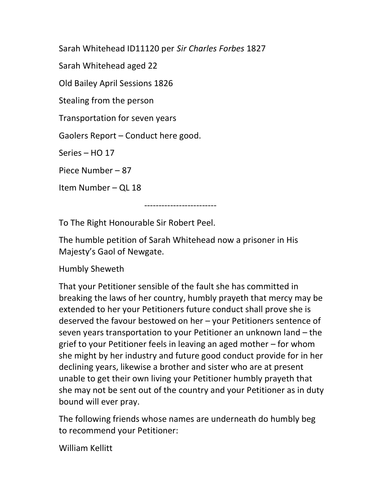Sarah Whitehead ID11120 per Sir Charles Forbes 1827

Sarah Whitehead aged 22

Old Bailey April Sessions 1826

Stealing from the person

Transportation for seven years

Gaolers Report – Conduct here good.

Series – HO 17

Piece Number – 87

Item Number – QL 18

-------------------------

To The Right Honourable Sir Robert Peel.

The humble petition of Sarah Whitehead now a prisoner in His Majesty's Gaol of Newgate.

Humbly Sheweth

That your Petitioner sensible of the fault she has committed in breaking the laws of her country, humbly prayeth that mercy may be extended to her your Petitioners future conduct shall prove she is deserved the favour bestowed on her – your Petitioners sentence of seven years transportation to your Petitioner an unknown land – the grief to your Petitioner feels in leaving an aged mother – for whom she might by her industry and future good conduct provide for in her declining years, likewise a brother and sister who are at present unable to get their own living your Petitioner humbly prayeth that she may not be sent out of the country and your Petitioner as in duty bound will ever pray.

The following friends whose names are underneath do humbly beg to recommend your Petitioner:

William Kellitt